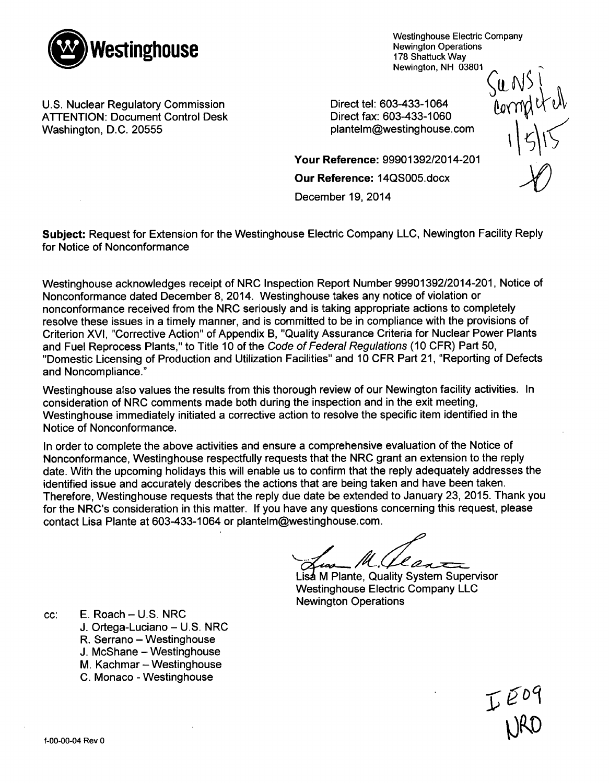

Westinghouse Electric Company Newington Operations 178 Shattuck Way

U.S. Nuclear Regulatory Commission<br>ATTENTION: Document Control Desk Direct fax: 603-433-1060 ATTENTION: Document Control Desk Direct fax: 603-433-1060<br>
Washington, D.C. 20555 plantelm@westinghouse.com

Your Reference: 99901392/2014-201

Our Reference: 14QS005.docx

December 19, 2014

Newington, NH 03801<br>3-433-1064<br>3-433-1060<br>1

Subject: Request for Extension for the Westinghouse Electric Company LLC, Newington Facility Reply for Notice of Nonconformance

Westinghouse acknowledges receipt of NRC Inspection Report Number 99901392/2014-201, Notice of Nonconformance dated December 8, 2014. Westinghouse takes any notice of violation or nonconformance received from the NRC seriously and is taking appropriate actions to completely resolve these issues in a timely manner, and is committed to be in compliance with the provisions of Criterion XVI, "Corrective Action" of Appendix B, "Quality Assurance Criteria for Nuclear Power Plants and Fuel Reprocess Plants," to Title 10 of the *Code of Federal Regulations* (10 CFR) Part 50, "Domestic Licensing of Production and Utilization Facilities" and 10 CFR Part 21, "Reporting of Defects and Noncompliance."

Westinghouse also values the results from this thorough review of our Newington facility activities. In consideration of NRC comments made both during the inspection and in the exit meeting, Westinghouse immediately initiated a corrective action to resolve the specific item identified in the Notice of Nonconformance.

In order to complete the above activities and ensure a comprehensive evaluation of the Notice of Nonconformance, Westinghouse respectfully requests that the NRC grant an extension to the reply date. With the upcoming holidays this will enable us to confirm that the reply adequately addresses the identified issue and accurately describes the actions that are being taken and have been taken. Therefore, Westinghouse requests that the reply due date be extended to January 23, 2015. Thank you for the NRC's consideration in this matter. If you have any questions concerning this request, please contact Lisa Plante at 603-433-1064 or plantelm@westinghouse.com.

 $l_{A}$ 

Lis**a** M Plante, Quality System Supervisor Westinghouse Electric Company LLC Newington Operations

 $cc:$  E. Roach  $-$  U.S. NRC

J. Ortega-Luciano - U.S. NRC

R. Serrano - Westinghouse

J. McShane - Westinghouse

M. Kachmar - Westinghouse

C. Monaco - Westinghouse

 $I^{E09}$